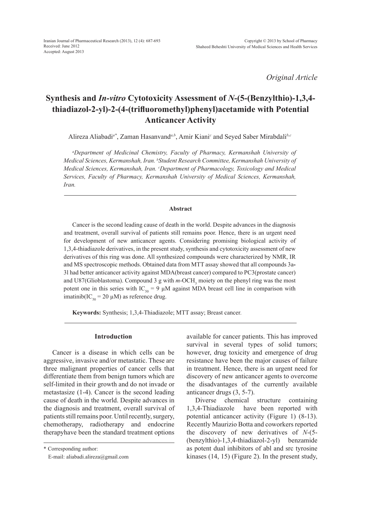*Original Article*

# **Synthesis and** *In-vitro* **Cytotoxicity Assessment of** *N***-(5-(Benzylthio)-1,3,4 thiadiazol-2-yl)-2-(4-(trifluoromethyl)phenyl)acetamide with Potential Anticancer Activity**

Alireza Aliabadi*a\**, Zaman Hasanvand*a,b*, Amir Kiani*<sup>c</sup>* and Seyed Saber Mirabdali*b,c*

*a Department of Medicinal Chemistry, Faculty of Pharmacy, Kermanshah University of Medical Sciences, Kermanshah, Iran. b Student Research Committee, Kermanshah University of Medical Sciences, Kermanshah, Iran. c Department of Pharmacology, Toxicology and Medical Services, Faculty of Pharmacy, Kermanshah University of Medical Sciences, Kermanshah, Iran.* 

## **Abstract**

Cancer is the second leading cause of death in the world. Despite advances in the diagnosis and treatment, overall survival of patients still remains poor. Hence, there is an urgent need for development of new anticancer agents. Considering promising biological activity of 1,3,4-thiadiazole derivatives, in the present study, synthesis and cytotoxicity assessment of new derivatives of this ring was done. All synthesized compounds were characterized by NMR, IR and MS spectroscopic methods. Obtained data from MTT assay showed that all compounds 3a**-**3l had better anticancer activity against MDA(breast cancer) compared to PC3(prostate cancer) and U87(Glioblastoma). Compound 3 g with  $m$ -OCH<sub>3</sub> moiety on the phenyl ring was the most potent one in this series with IC<sub>50</sub> = 9  $\mu$ M against MDA breast cell line in comparison with imatinib(IC<sub>50</sub> = 20  $\mu$ M) as reference drug.

**Keywords:** Synthesis; 1,3,4-Thiadiazole; MTT assay; Breast cancer*.*

## **Introduction**

Cancer is a disease in which cells can be aggressive, invasive and/or metastatic. These are three malignant properties of cancer cells that differentiate them from benign tumors which are self-limited in their growth and do not invade or metastasize (1-4). Cancer is the second leading cause of death in the world. Despite advances in the diagnosis and treatment, overall survival of patients still remains poor. Until recently, surgery, chemotherapy, radiotherapy and endocrine therapyhave been the standard treatment options

\* Corresponding author:

available for cancer patients. This has improved survival in several types of solid tumors; however, drug toxicity and emergence of drug resistance have been the major causes of failure in treatment. Hence, there is an urgent need for discovery of new anticancer agents to overcome the disadvantages of the currently available anticancer drugs (3, 5-7).

Diverse chemical structure containing 1,3,4-Thiadiazole have been reported with potential anticancer activity (Figure 1) (8-13). Recently Maurizio Botta and coworkers reported the discovery of new derivatives of *N*-(5- (benzylthio)-1,3,4-thiadiazol-2-yl) benzamide as potent dual inhibitors of abl and src tyrosine kinases (14, 15) (Figure 2). In the present study,

E-mail: aliabadi.alireza@gmail.com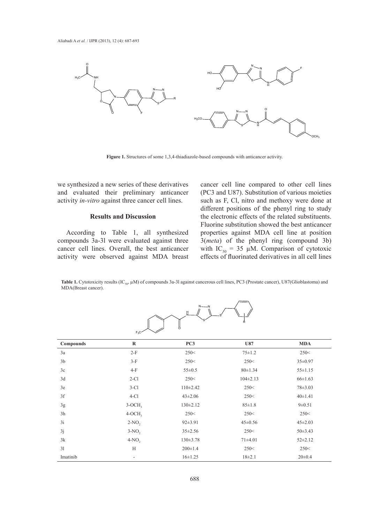

**Figure 1.** Structures of some 1,3,4-thiadiazole-based compounds with anticancer activity.

we synthesized a new series of these derivatives and evaluated their preliminary anticancer activity *in-vitro* against three cancer cell lines.

## **Results and Discussion**

According to Table 1, all synthesized compounds 3a-3l were evaluated against three cancer cell lines. Overall, the best anticancer activity were observed against MDA breast

cancer cell line compared to other cell lines (PC3 and U87). Substitution of various moieties such as F, Cl, nitro and methoxy were done at different positions of the phenyl ring to study the electronic effects of the related substituents. Fluorine substitution showed the best anticancer properties against MDA cell line at position 3(*meta*) of the phenyl ring (compound 3b) with  $IC_{50} = 35 \mu M$ . Comparison of cytotoxic effects of fluorinated derivatives in all cell lines

Table 1. Cytotoxicity results (IC<sub>50</sub>,  $\mu$ M) of compounds 3a-3l against cancerous cell lines, PC3 (Prostate cancer), U87(Glioblastoma) and MDA(Breast cancer).

|                | $F_3C$                   | $\circ$<br>ő    | Ŕ              |               |
|----------------|--------------------------|-----------------|----------------|---------------|
| Compounds      | $\mathbf R$              | PC <sub>3</sub> | U87            | <b>MDA</b>    |
| 3a             | $2-F$                    | 250<            | $75 \pm 1.2$   | 250<          |
| 3 <sub>b</sub> | $3-F$                    | 250<            | 250<           | 35±0.97       |
| 3c             | $4-F$                    | $55 \pm 0.5$    | $80 \pm 1.34$  | $55 \pm 1.15$ |
| 3d             | $2-C1$                   | 250<            | $104 \pm 2.13$ | $66 \pm 1.63$ |
| 3e             | $3-Cl$                   | $110 \pm 2.42$  | 250<           | $78 \pm 3.03$ |
| 3f             | $4-Cl$                   | $43 \pm 2.06$   | 250<           | $40 \pm 1.41$ |
| 3g             | $3-OCH3$                 | $130 \pm 2.12$  | $85 \pm 1.8$   | $9 \pm 0.51$  |
| 3h             | $4-OCH3$                 | 250<            | 250<           | 250<          |
| 3i             | $2-NO$                   | $92 \pm 3.91$   | $45 \pm 0.56$  | $45 \pm 2.03$ |
| 3j             | $3-NO$ ,                 | $35 \pm 2.56$   | 250<           | $50 \pm 3.43$ |
| 3k             | $4-NO$ ,                 | $130 \pm 3.78$  | $71 + 4.01$    | $52 \pm 2.12$ |
| 31             | H                        | $200 \pm 1.4$   | 250<           | 250<          |
| Imatinib       | $\overline{\phantom{a}}$ | $16 \pm 1.25$   | $18 + 2.1$     | $20 \pm 0.4$  |

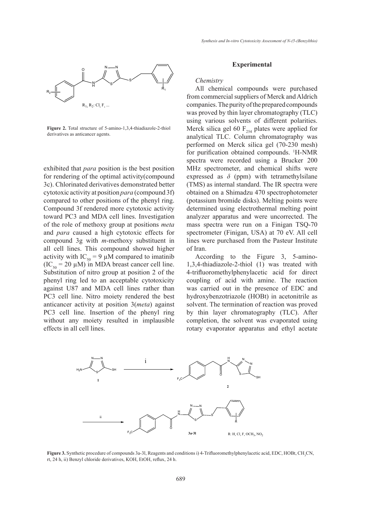

**Figure 2.** Total structure of 5-amino-1,3,4-thiadiazole-2-thiol derivatives as anticancer agents.

exhibited that *para* position is the best position for rendering of the optimal activity(compound 3c). Chlorinated derivatives demonstrated better cytotoxic activity at position *para* (compound 3f) compared to other positions of the phenyl ring. Compound 3f rendered more cytotoxic activity toward PC3 and MDA cell lines. Investigation of the role of methoxy group at positions *meta*  and *para* caused a high cytotoxic effects for compound 3g with *m*-methoxy substituent in all cell lines. This compound showed higher activity with IC<sub>50</sub> = 9  $\mu$ M compared to imatinib  $(IC_{50} = 20 \mu M)$  in MDA breast cancer cell line. Substitution of nitro group at position 2 of the phenyl ring led to an acceptable cytotoxicity against U87 and MDA cell lines rather than PC3 cell line. Nitro moiety rendered the best anticancer activity at position 3(*meta*) against PC3 cell line. Insertion of the phenyl ring without any moiety resulted in implausible effects in all cell lines.

## **Experimental**

## *Chemistry*

All chemical compounds were purchased from commercial suppliers of Merck and Aldrich companies. The purity of the prepared compounds was proved by thin layer chromatography (TLC) using various solvents of different polarities. Merck silica gel 60  $F_{254}$  plates were applied for analytical TLC. Column chromatography was performed on Merck silica gel (70-230 mesh) for purification obtained compounds. <sup>1</sup> H-NMR spectra were recorded using a Brucker 200 MHz spectrometer, and chemical shifts were expressed as  $\delta$  (ppm) with tetramethylsilane (TMS) as internal standard. The IR spectra were obtained on a Shimadzu 470 spectrophotometer (potassium bromide disks). Melting points were determined using electrothermal melting point analyzer apparatus and were uncorrected. The mass spectra were run on a Finigan TSQ-70 spectrometer (Finigan, USA) at 70 eV. All cell lines were purchased from the Pasteur Institute of Iran.

According to the Figure 3, 5-amino-1,3,4-thiadiazole-2-thiol (1) was treated with 4-trifluoromethylphenylacetic acid for direct coupling of acid with amine. The reaction was carried out in the presence of EDC and hydroxybenzotriazole (HOBt) in acetonitrile as solvent. The termination of reaction was proved by thin layer chromatography (TLC). After completion, the solvent was evaporated using rotary evaporator apparatus and ethyl acetate



**Figure 3.** Synthetic procedure of compounds 3a-31, Reagents and conditions i) 4-Trifluoromethylphenylacetic acid, EDC, HOBt, CH<sub>3</sub>CN, rt, 24 h, ii) Benzyl chloride derivatives, KOH, EtOH, reflux, 24 h.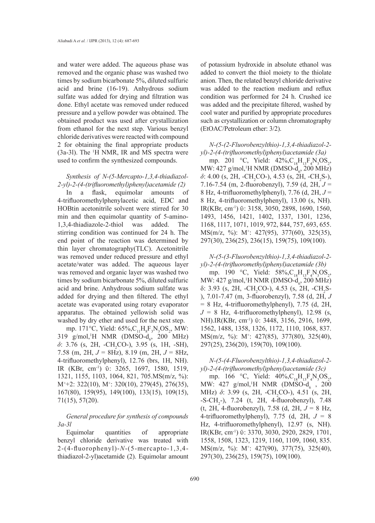and water were added. The aqueous phase was removed and the organic phase was washed two times by sodium bicarbonate 5%, diluted sulfuric acid and brine (16-19). Anhydrous sodium sulfate was added for drying and filtration was done. Ethyl acetate was removed under reduced pressure and a yellow powder was obtained. The obtained product was used after crystallization from ethanol for the next step. Various benzyl chloride derivatives were reacted with compound 2 for obtaining the final appropriate products  $(3a-3l)$ . The <sup>1</sup>H NMR, IR and MS spectra were used to confirm the synthesized compounds.

## *Synthesis of N-(5-Mercapto-1,3,4-thiadiazol-2-yl)-2-(4-(trifluoromethyl)phenyl)acetamide (2)*

In a flask, equimolar amounts of 4-trifluoromethylphenylacetic acid, EDC and HOBtin acetonitrile solvent were stirred for 30 min and then equimolar quantity of 5-amino-1,3,4-thiadiazole-2-thiol was added. The stirring condition was continued for 24 h. The end point of the reaction was determined by thin layer chromatography(TLC). Acetonitrile was removed under reduced pressure and ethyl acetate/water was added. The aqueous layer was removed and organic layer was washed two times by sodium bicarbonate 5%, diluted sulfuric acid and brine. Anhydrous sodium sulfate was added for drying and then filtered. The ethyl acetate was evaporated using rotary evaporator apparatus. The obtained yellowish solid was washed by dry ether and used for the next step.

mp. 171°C, Yield:  $65\%, C_{11}H_{8}F_{3}N_{3}OS_{2}$ , MW: 319 g/mol,<sup>1</sup>H NMR (DMSO-d<sub>6</sub>, 200 MHz) *δ*: 3.76 (s, 2H, -CH<sub>2</sub>CO-), 3.95 (s, 1H, -SH), 7.58 (m, 2H, *J* = 8Hz), 8.19 (m, 2H, *J* = 8Hz, 4-trifluoromethylphenyl), 12.76 (brs, 1H, NH). IR (KBr, cm-1) ῡ: 3265, 1697, 1580, 1519, 1321, 1155, 1103, 1064, 821, 705.MS(m/z, %): M<sup>+</sup>+2: 322(10), M<sup>+</sup>: 320(10), 279(45), 276(35), 167(80), 159(95), 149(100), 133(15), 109(15), 71(15), 57(20).

*General procedure for synthesis of compounds 3a-3l*

Equimolar quantities of appropriate benzyl chloride derivative was treated with 2-(4-fluorophenyl)-*N*-(5-mercapto-1,3,4 thiadiazol-2-yl)acetamide (2). Equimolar amount of potassium hydroxide in absolute ethanol was added to convert the thiol moiety to the thiolate anion. Then, the related benzyl chloride derivative was added to the reaction medium and reflux condition was performed for 24 h. Crushed ice was added and the precipitate filtered, washed by cool water and purified by appropriate procedures such as crystallization or column chromatography (EtOAC/Petroleum ether: 3/2).

*N-(5-(2-Fluorobenzylthio)-1,3,4-thiadiazol-2 yl)-2-(4-(trifluoromethyl)phenyl)acetamide (3a)*

mp. 201 °C, Yield:  $42\%, C_{18}H_{13}F_4N_3OS_2$ , MW: 427 g/mol, <sup>1</sup>H NMR (DMSO-d<sub>6</sub>, 200 MHz)  $\delta$ : 4.00 (s, 2H, -CH<sub>2</sub>CO-), 4.53 (s, 2H, -CH<sub>2</sub>S-), 7.16-7.54 (m, 2-fluorobenzyl), 7.59 (d, 2H, *J* = 8 Hz, 4-trifluoromethylphenyl), 7.76 (d, 2H, *J* = 8 Hz, 4-trifluoromethylphenyl), 13.00 (s, NH). IR(KBr, cm-1) ῡ: 3158, 3050, 2898, 1690, 1560, 1493, 1456, 1421, 1402, 1337, 1301, 1236, 1168, 1117, 1071, 1019, 972, 844, 757, 693, 655. MS(m/z, %): M+ : 427(95), 377(60), 325(35), 297(30), 236(25), 236(15), 159(75), 109(100).

## *N-(5-(3-Fluorobenzylthio)-1,3,4-thiadiazol-2 yl)-2-(4-(trifluoromethyl)phenyl)acetamide (3b)*

mp. 190 °C, Yield:  $58\%, C_{18}H_{13}F_4N_3OS_2$ , MW: 427 g/mol, <sup>1</sup>H NMR (DMSO-d<sub>6</sub>, 200 MHz)  $\delta$ : 3.93 (s, 2H, -CH<sub>2</sub>CO-), 4.53 (s, 2H, -CH<sub>2</sub>S-), 7.01-7.47 (m, 3-fluorobenzyl), 7.58 (d, 2H, *J*  $= 8$  Hz, 4-trifluoromethylphenyl), 7.75 (d, 2H,  $J = 8$  Hz, 4-trifluoromethylphenyl), 12.98 (s, NH).IR(KBr, cm<sup>-1</sup>)  $\overline{v}$ : 3448, 3156, 2916, 1699, 1562, 1488, 1358, 1326, 1172, 1110, 1068, 837. MS(m/z, %): M+ : 427(85), 377(80), 325(40), 297(25), 236(20), 159(70), 109(100).

*N-(5-(4-Fluorobenzylthio)-1,3,4-thiadiazol-2 yl)-2-(4-(trifluoromethyl)phenyl)acetamide (3c)*

mp. 166 °C, Yield:  $40\%, C_{18}H_{13}F_4N_3OS_2$ , MW: 427 g/mol,<sup>1</sup>H NMR (DMSO-d<sub>6</sub>, 200 MHz) *δ*: 3.99 (s, 2H, -CH<sub>2</sub>CO-), 4.51 (s, 2H,  $- S\text{-CH}_2$ -), 7.24 (t, 2H, 4-fluorobenzyl), 7.48 (t, 2H, 4-fluorobenzyl), 7.58 (d, 2H, *J* = 8 Hz, 4-trifluoromethylphenyl), 7.75 (d, 2H, *J* = 8 Hz, 4-trifluoromethylphenyl), 12.97 (s, NH). IR(KBr, cm-1) ῡ: 3370, 3030, 2920, 2829, 1701, 1558, 1508, 1323, 1219, 1160, 1109, 1060, 835. MS(m/z, %): M+ : 427(90), 377(75), 325(40), 297(30), 236(25), 159(75), 109(100).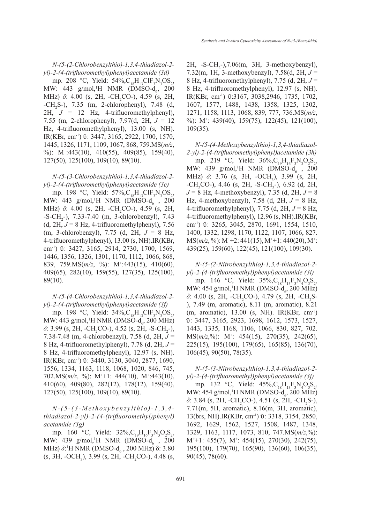*N-(5-(2-Chlorobenzylthio)-1,3,4-thiadiazol-2 yl)-2-(4-(trifluoromethyl)phenyl)acetamide (3d)*

mp. 208 °C, Yield:  $54\%, C_{18}H_{13}CIF_3N_3OS_2$ , MW: 443 g/mol,<sup>1</sup>H NMR (DMSO-d<sub>6</sub>, 200 MHz) *δ*: 4.00 (s, 2H, -CH<sub>2</sub>CO-), 4.59 (s, 2H,  $-CH_2S$ -), 7.35 (m, 2-chlorophenyl), 7.48 (d, 2H, *J* = 12 Hz, 4-trifluoromethylphenyl), 7.55 (m, 2-chlorophenyl), 7.97(d, 2H, *J* = 12 Hz, 4-trifluoromethylphenyl), 13.00 (s, NH). IR(KBr, cm-1) ῡ: 3447, 3165, 2922, 1700, 1570, 1445, 1326, 1171, 1109, 1067, 868, 759.MS(*m/z*, %): M+ :443(10), 410(55), 409(85), 159(40), 127(50), 125(100), 109(10), 89(10).

*N-(5-(3-Chlorobenzylthio)-1,3,4-thiadiazol-2 yl)-2-(4-(trifluoromethyl)phenyl)acetamide (3e)*

mp. 198 °C, Yield:  $57\%, C_{18}H_{13}CIF_3N_3OS_2$ , MW: 443 g/mol,<sup>1</sup>H NMR (DMSO-d<sub>6</sub>, 200 MHz) *δ*: 4.00 (s, 2H, -CH<sub>2</sub>CO-), 4.59 (s, 2H,  $-$ S $-$ CH<sub>2</sub> $-$ ), 7.33 $-$ 7.40 (m, 3 $-$ chlorobenzyl), 7.43 (d,  $2H, J = 8$  Hz, 4-trifluoromethylphenyl), 7.56 (m, 3-chlorobenzyl), 7.75 (d, 2H, *J* = 8 Hz, 4-trifluoromethylphenyl), 13.00 (s, NH).IR(KBr, cm<sup>-1</sup>)  $\overline{0}$ : 3427, 3165, 2914, 2730, 1700, 1569, 1446, 1356, 1326, 1301, 1170, 1112, 1066, 868, 839, 759.MS(*m/z*, %): M+ :443(15), 410(60), 409(65), 282(10), 159(55), 127(35), 125(100), 89(10).

*N-(5-(4-Chlorobenzylthio)-1,3,4-thiadiazol-2 yl)-2-(4-(trifluoromethyl)phenyl)acetamide (3f)*

mp. 198 °C, Yield:  $34\%, C_{18}H_{13}CIF_3N_3OS_2$ , MW: 443 g/mol, <sup>1</sup>H NMR (DMSO-d<sub>6</sub>, 200 MHz) *δ*: 3.99 (s, 2H, -CH<sub>2</sub>CO-), 4.52 (s, 2H, -S-CH<sub>2</sub>-), 7.38-7.48 (m, 4-chlorobenzyl), 7.58 (d, 2H, *J* = 8 Hz, 4-trifluoromethylphenyl), 7.78 (d, 2H, *J* = 8 Hz, 4-trifluoromethylphenyl), 12.97 (s, NH). IR(KBr, cm-1) ῡ: 3440, 3130, 3040, 2877, 1690, 1556, 1334, 1163, 1118, 1068, 1020, 846, 745, 702.MS( $m/z$ , %): M<sup>+</sup>+1: 444(10), M<sup>+</sup>:443(10), 410(60), 409(80), 282(12), 178(12), 159(40), 127(50), 125(100), 109(10), 89(10).

*N-(5-(3-Methoxybenzylthio)-1,3,4 thiadiazol-2-yl)-2-(4-(trifluoromethyl)phenyl) acetamide (3g)*

mp. 160 °C, Yield:  $32\%, C_{19}H_{16}F_3N_3O_2S_2$ , MW: 439 g/mol,<sup>1</sup>H NMR (DMSO-d<sub>6</sub>, 200 MHz) *δ*:<sup>1</sup>H NMR (DMSO-d<sub>6</sub>, 200 MHz) δ: 3.80  $(s, 3H, -OCH<sub>3</sub>), 3.99 (s, 2H, -CH<sub>2</sub>CO-), 4.48 (s,$ 

 $2H$ ,  $-S-CH_2-$ ),7.06(m, 3H, 3-methoxybenzyl), 7.32(m, 1H, 3-methoxybenzyl), 7.58(d, 2H, *J* = 8 Hz, 4-trifluoromethylphenyl), 7.75 (d, 2H, *J* = 8 Hz, 4-trifluoromethylphenyl), 12.97 (s, NH). IR(KBr, cm-1) ῡ:3167, 3038,2946, 1735, 1702, 1607, 1577, 1488, 1438, 1358, 1325, 1302, 1271, 1158, 1113, 1068, 839, 777, 736.MS(*m/z*, %): M+ : 439(40), 159(75), 122(45), 121(100), 109(35).

*N-(5-(4-Methoxybenzylthio)-1,3,4-thiadiazol-2-yl)-2-(4-(trifluoromethyl)phenyl)acetamide (3h)*

mp. 219 °C, Yield:  $36\%, C_{19}H_{16}F_3N_3O_2S_2$ , MW: 439 g/mol,<sup>1</sup>H NMR (DMSO-d<sub>6</sub>, 200 MHz) *δ*: 3.76 (s, 3H, -OCH<sub>3</sub>), 3.99 (s, 2H,  $-CH_2CO$ -), 4.46 (s, 2H,  $-S-CH_2$ -), 6.92 (d, 2H, *J* = 8 Hz, 4-methoxybenzyl), 7.35 (d, 2H, *J* = 8 Hz, 4-methoxybenzyl), 7.58 (d, 2H, *J* = 8 Hz, 4-trifluoromethylphenyl), 7.75 (d, 2H, *J* = 8 Hz, 4-trifluoromethylphenyl), 12.96 (s, NH).IR(KBr, cm-1) ῡ: 3265, 3045, 2870, 1691, 1554, 1510, 1400, 1332, 1298, 1170, 1122, 1107, 1066, 827. MS(*m/z*, %): M<sup>+</sup>+2: 441(15), M<sup>+</sup>+1: 440(20), M<sup>+</sup>: 439(25), 159(60), 122(45), 121(100), 109(30).

*N-(5-(2-Nitrobenzylthio)-1,3,4-thiadiazol-2 yl)-2-(4-(trifluoromethyl)phenyl)acetamide (3i)*

mp. 146 °C, Yield:  $35\%, C_{18}H_{13}F_3N_4O_3S_2$ , MW: 454 g/mol, <sup>1</sup>H NMR (DMSO-d<sub>6</sub>, 200 MHz) *δ*: 4.00 (s, 2H, -CH<sub>2</sub>CO-), 4.79 (s, 2H, -CH<sub>2</sub>S-), 7.49 (m, aromatic), 8.11 (m, aromatic), 8.21 (m, aromatic), 13.00 (s, NH). IR(KBr, cm-1) ῡ: 3447, 3165, 2923, 1698, 1612, 1573, 1527, 1443, 1335, 1168, 1106, 1066, 830, 827, 702. MS(*m/z*,%): M+ : 454(15), 270(35), 242(65), 225(15), 195(100), 179(65), 165(85), 136(70), 106(45), 90(50), 78(35).

*N-(5-(3-Nitrobenzylthio)-1,3,4-thiadiazol-2 yl)-2-(4-(trifluoromethyl)phenyl)acetamide (3j)*

mp. 132 °C, Yield:  $45\%, C_{18}H_{13}F_3N_4O_3S_2$ , MW: 454 g/mol, <sup>1</sup>H NMR (DMSO-d<sub>6</sub>, 200 MHz) *δ*: 3.84 (s, 2H, -CH<sub>2</sub>CO-), 4.51 (s, 2H, -CH<sub>2</sub>S-), 7.71(m, 5H, aromatic), 8.16(m, 3H, aromatic), 13(brs, NH).IR(KBr, cm-1) ῡ: 3318, 3154, 2850, 1692, 1629, 1562, 1527, 1508, 1487, 1348, 1329, 1163, 1117, 1073, 810, 747.MS(*m/z*,%): M<sup>+</sup>+1: 455(7), M<sup>+</sup>: 454(15), 270(30), 242(75), 195(100), 179(70), 165(90), 136(60), 106(35), 90(45), 78(60).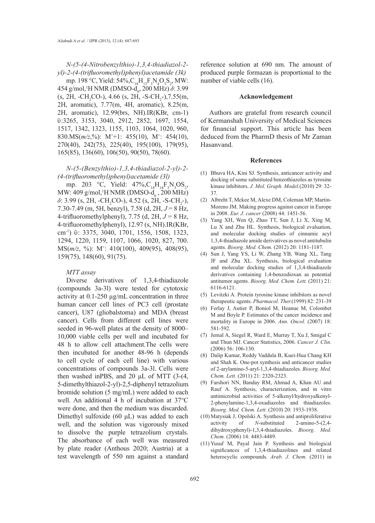*N-(5-(4-Nitrobenzylthio)-1,3,4-thiadiazol-2 yl)-2-(4-(trifluoromethyl)phenyl)acetamide (3k)*

mp. 198 °C, Yield: 54%,  $C_{18}H_{13}F_3N_4O_3S_2$ , MW: 454 g/mol,<sup>1</sup>H NMR (DMSO-d<sub>6</sub>, 200 MHz) *δ*: 3.99  $(s, 2H, -CH_2CO-)$ , 4.66  $(s, 2H, -S-CH_2-)$ , 7.55(m, 2H, aromatic), 7.77(m, 4H, aromatic), 8.25(m, 2H, aromatic), 12.99(brs, NH).IR(KBr, cm-1) ῡ:3265, 3153, 3040, 2912, 2852, 1697, 1554, 1517, 1342, 1323, 1155, 1103, 1064, 1020, 960, 830.MS( $m/z$ ,%): M<sup>+</sup>+1: 455(10), M<sup>+</sup>: 454(10), 270(40), 242(75), 225(40), 195(100), 179(95), 165(85), 136(60), 106(50), 90(50), 78(60).

*N-(5-(Benzylthio)-1,3,4-thiadiazol-2-yl)-2- (4-(trifluoromethyl)phenyl)acetamide (3l)*

mp. 203 °C, Yield:  $47\%, C_{18}H_{14}F_3N_3OS_2$ , MW: 409 g/mol,<sup>1</sup>H NMR (DMSO-d<sub>6</sub>, 200 MHz) *δ*: 3.99 (s, 2H, -CH<sub>2</sub>CO-), 4.52 (s, 2H, -S-CH<sub>2</sub>-), 7.30-7.49 (m, 5H, benzyl), 7.58 (d, 2H, *J* = 8 Hz, 4-trifluoromethylphenyl), 7.75 (d, 2H, *J* = 8 Hz, 4-trifluoromethylphenyl), 12.97 (s, NH).IR(KBr, cm<sup>-1</sup>)  $\overline{v}$ : 3375, 3040, 1701, 1556, 1508, 1323, 1294, 1220, 1159, 1107, 1066, 1020, 827, 700. MS(*m/z*, %): M+ : 410(100), 409(95), 408(95), 159(75), 148(60), 91(75).

## *MTT assay*

Diverse derivatives of 1,3,4-thiadiazole (compounds 3a-3l) were tested for cytotoxic activity at 0.1-250 µg/mL concentration in three human cancer cell lines of PC3 cell (prostate cancer), U87 (gliobalstoma) and MDA (breast cancer). Cells from different cell lines were seeded in 96-well plates at the density of 8000– 10,000 viable cells per well and incubated for 48 h to allow cell attachment.The cells were then incubated for another 48-96 h (depends to cell cycle of each cell line) with various concentrations of compounds 3a-3l. Cells were then washed inPBS, and 20 μL of MTT (3-(4, 5-dimethylthiazol-2-yl)-2,5-diphenyl tetrazolium bromide solution (5 mg/mL) were added to each well. An additional 4 h of incubation at 37°C were done, and then the medium was discarded. Dimethyl sulfoxide (60 μL) was added to each well, and the solution was vigorously mixed to dissolve the purple tetrazolium crystals. The absorbance of each well was measured by plate reader (Anthous 2020; Austria) at a test wavelength of 550 nm against a standard

reference solution at 690 nm. The amount of produced purple formazan is proportional to the number of viable cells (16).

#### **Acknowledgement**

Authors are grateful from research council of Kermanshah University of Medical Sciences for financial support. This article has been deduced from the PharmD thesis of Mr Zaman Hasanvand.

#### **References**

- Bhuva HA, Kini SJ. Synthesis, anticancer activity and (1) docking of some substituted benzothiazoles as tyrosine kinase inhibitors. *J. Mol. Graph. Model.*(2010) 29: 32- 37.
- Albreht T, Mckee M, Alexe DM, Coleman MP, Martin-(2) Moreno JM. Making progress against cancer in Europe in 2008. *Eur. J. cancer* (2008) 44: 1451-56.
- Yang XH, Wen Q, Zhao TT, Sun J, Li X, Xing M, (3) Lu X and Zhu HL. Synthesis, biological evaluation, and molecular docking studies of cinnamic acyl 1,3,4-thiadiazole amide derivatives as novel antitubulin agents. *Bioorg. Med. Chem.* (2012) 20: 1181-1187.
- Sun J, Yang YS, Li W, Zhang YB, Wang XL, Tang (4) JF and Zhu XL. Synthesis, biological evaluation and molecular docking studies of 1,3,4-thiadiazole derivatives containing 1,4-benzodioxan as potential antitumor agents. *Bioorg. Med. Chem. Lett.* (2011) 21: 6116-6121.
- Levitzki A. Protein tyrosine kinase inhibitors as novel (5) therapeutic agents. *Pharmacol. Ther.*(1999) 82: 231-39
- Ferlay J, Autier P, Boniol M, Heanue M, Colombet (6) M and Boyle P. Estimates of the cancer incidence and mortality in Europe in 2006. *Ann. Oncol.* (2007) 18: 581-592.
- (7) Jemal A, Siegel R, Ward E, Murray T, Xu J, Smigal C and Thun MJ. Cancer Statistics, 2006. *Cancer J. Clin.* (2006) 56: 106-130.
- Dalip Kumar, Reddy Vaddula B, Kuei-Hua Chang KH and Shah K. One-pot synthesis and anticancer studies of 2-arylamino-5-aryl-1,3,4-thiadiazoles. *Bioorg. Med. Chem. Lett.* (2011) 21: 2320-2323. (8)
- Farshori NN, Banday RM, Ahmad A, Khan AU and (9) Rauf A. Synthesis, characterization, and in vitro antimicrobial activities of 5-alkenyl/hydroxyalkenyl-2-phenylamine-1,3,4-oxadiazoles and thiadiazoles. *Bioorg. Med. Chem. Lett.* (2010) 20: 1933-1938.
- (10) Matysiak J, Opolski A. Synthesis and antiproliferative activity of *N*-substituted 2-amino-5-(2,4 dihydroxyphenyl)-1,3,4-thiadiazoles. *Bioorg. Med. Chem.* (2006) 14: 4483-4489.
- (11) Yusuf M, Payal Jain P. Synthesis and biological significances of 1,3,4-thiadiazolines and related heterocyclic compounds. *Arab. J. Chem.* (2011) in